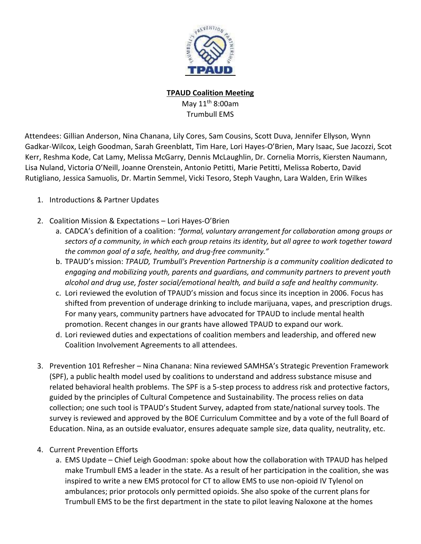

**TPAUD Coalition Meeting**

May 11<sup>th</sup> 8:00am Trumbull EMS

Attendees: Gillian Anderson, Nina Chanana, Lily Cores, Sam Cousins, Scott Duva, Jennifer Ellyson, Wynn Gadkar-Wilcox, Leigh Goodman, Sarah Greenblatt, Tim Hare, Lori Hayes-O'Brien, Mary Isaac, Sue Jacozzi, Scot Kerr, Reshma Kode, Cat Lamy, Melissa McGarry, Dennis McLaughlin, Dr. Cornelia Morris, Kiersten Naumann, Lisa Nuland, Victoria O'Neill, Joanne Orenstein, Antonio Petitti, Marie Petitti, Melissa Roberto, David Rutigliano, Jessica Samuolis, Dr. Martin Semmel, Vicki Tesoro, Steph Vaughn, Lara Walden, Erin Wilkes

- 1. Introductions & Partner Updates
- 2. Coalition Mission & Expectations Lori Hayes-O'Brien
	- a. CADCA's definition of a coalition: *"formal, voluntary arrangement for collaboration among groups or sectors of a community, in which each group retains its identity, but all agree to work together toward the common goal of a safe, healthy, and drug-free community."*
	- b. TPAUD's mission: *TPAUD, Trumbull's Prevention Partnership is a community coalition dedicated to engaging and mobilizing youth, parents and guardians, and community partners to prevent youth alcohol and drug use, foster social/emotional health, and build a safe and healthy community.*
	- c. Lori reviewed the evolution of TPAUD's mission and focus since its inception in 2006. Focus has shifted from prevention of underage drinking to include marijuana, vapes, and prescription drugs. For many years, community partners have advocated for TPAUD to include mental health promotion. Recent changes in our grants have allowed TPAUD to expand our work.
	- d. Lori reviewed duties and expectations of coalition members and leadership, and offered new Coalition Involvement Agreements to all attendees.
- 3. Prevention 101 Refresher Nina Chanana: Nina reviewed SAMHSA's Strategic Prevention Framework (SPF), a public health model used by coalitions to understand and address substance misuse and related behavioral health problems. The SPF is a 5-step process to address risk and protective factors, guided by the principles of Cultural Competence and Sustainability. The process relies on data collection; one such tool is TPAUD's Student Survey, adapted from state/national survey tools. The survey is reviewed and approved by the BOE Curriculum Committee and by a vote of the full Board of Education. Nina, as an outside evaluator, ensures adequate sample size, data quality, neutrality, etc.
- 4. Current Prevention Efforts
	- a. EMS Update Chief Leigh Goodman: spoke about how the collaboration with TPAUD has helped make Trumbull EMS a leader in the state. As a result of her participation in the coalition, she was inspired to write a new EMS protocol for CT to allow EMS to use non-opioid IV Tylenol on ambulances; prior protocols only permitted opioids. She also spoke of the current plans for Trumbull EMS to be the first department in the state to pilot leaving Naloxone at the homes